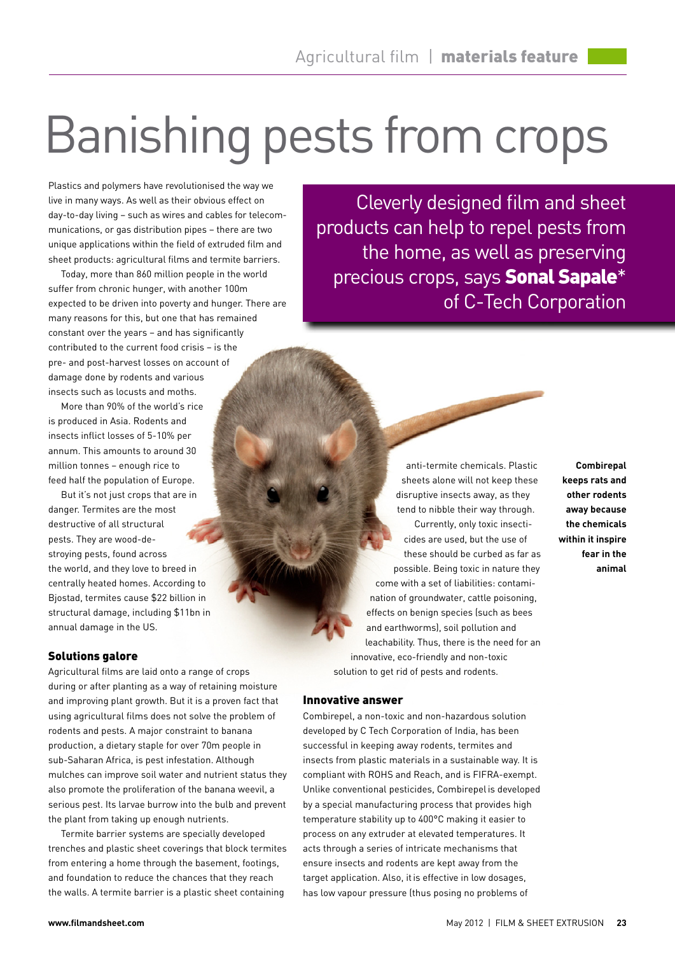# Banishing pests from crops

Plastics and polymers have revolutionised the way we live in many ways. As well as their obvious effect on day-to-day living – such as wires and cables for telecommunications, or gas distribution pipes – there are two unique applications within the field of extruded film and sheet products: agricultural films and termite barriers.

Today, more than 860 million people in the world suffer from chronic hunger, with another 100m expected to be driven into poverty and hunger. There are many reasons for this, but one that has remained constant over the years – and has significantly contributed to the current food crisis – is the pre- and post-harvest losses on account of damage done by rodents and various insects such as locusts and moths.

More than 90% of the world's rice is produced in Asia. Rodents and insects inflict losses of 5-10% per annum. This amounts to around 30 million tonnes – enough rice to feed half the population of Europe.

But it's not just crops that are in danger. Termites are the most destructive of all structural pests. They are wood-destroying pests, found across the world, and they love to breed in centrally heated homes. According to Bjostad, termites cause \$22 billion in structural damage, including \$11bn in annual damage in the US.

### Solutions galore

Agricultural films are laid onto a range of crops during or after planting as a way of retaining moisture and improving plant growth. But it is a proven fact that using agricultural films does not solve the problem of rodents and pests. A major constraint to banana production, a dietary staple for over 70m people in sub-Saharan Africa, is pest infestation. Although mulches can improve soil water and nutrient status they also promote the proliferation of the banana weevil, a serious pest. Its larvae burrow into the bulb and prevent the plant from taking up enough nutrients.

Termite barrier systems are specially developed trenches and plastic sheet coverings that block termites from entering a home through the basement, footings, and foundation to reduce the chances that they reach the walls. A termite barrier is a plastic sheet containing

Cleverly designed film and sheet products can help to repel pests from the home, as well as preserving precious crops, says **Sonal Sapale**\* of C-Tech Corporation

anti-termite chemicals. Plastic sheets alone will not keep these disruptive insects away, as they tend to nibble their way through. Currently, only toxic insecticides are used, but the use of these should be curbed as far as possible. Being toxic in nature they come with a set of liabilities: contamination of groundwater, cattle poisoning, effects on benign species (such as bees and earthworms), soil pollution and leachability. Thus, there is the need for an innovative, eco-friendly and non-toxic solution to get rid of pests and rodents.

### Innovative answer

Combirepel, a non-toxic and non-hazardous solution developed by C Tech Corporation of India, has been successful in keeping away rodents, termites and insects from plastic materials in a sustainable way. It is compliant with ROHS and Reach, and is FIFRA-exempt. Unlike conventional pesticides, Combirepelis developed by a special manufacturing process that provides high temperature stability up to 400°C making it easier to process on any extruder at elevated temperatures. It acts through a series of intricate mechanisms that ensure insects and rodents are kept away from the target application. Also, itis effective in low dosages, has low vapour pressure (thus posing no problems of

**Combirepal keeps rats and other rodents away because the chemicals within it inspire fear in the animal**